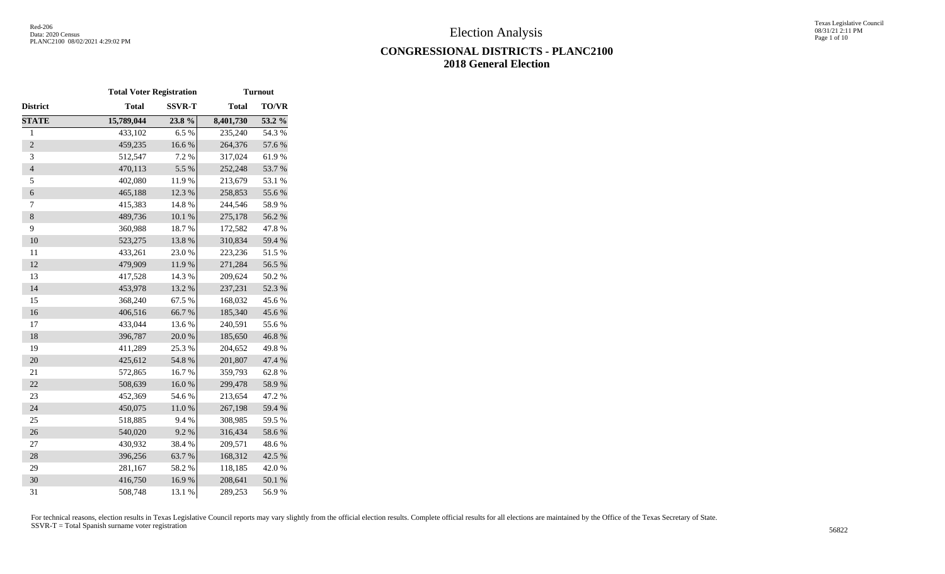Texas Legislative Council 08/31/21 2:11 PM Page 1 of 10

# **CONGRESSIONAL DISTRICTS - PLANC2100 2018 General Election**

|                | <b>Total Voter Registration</b> |               |              | <b>Turnout</b> |
|----------------|---------------------------------|---------------|--------------|----------------|
| District       | <b>Total</b>                    | <b>SSVR-T</b> | <b>Total</b> | <b>TO/VR</b>   |
| <b>STATE</b>   | 15,789,044                      | 23.8%         | 8,401,730    | 53.2 %         |
| $\mathbf{1}$   | 433,102                         | 6.5%          | 235,240      | 54.3 %         |
| $\overline{c}$ | 459,235                         | 16.6%         | 264,376      | 57.6%          |
| 3              | 512,547                         | 7.2 %         | 317,024      | 61.9%          |
| $\overline{4}$ | 470,113                         | 5.5 %         | 252,248      | 53.7%          |
| 5              | 402,080                         | 11.9%         | 213,679      | 53.1 %         |
| $\overline{6}$ | 465,188                         | 12.3 %        | 258,853      | 55.6%          |
| 7              | 415,383                         | 14.8 %        | 244,546      | 58.9%          |
| $\,8$          | 489,736                         | $10.1~\%$     | 275,178      | 56.2%          |
| 9              | 360,988                         | 18.7%         | 172,582      | 47.8%          |
| 10             | 523,275                         | 13.8 %        | 310,834      | 59.4 %         |
| 11             | 433,261                         | 23.0%         | 223,236      | 51.5 %         |
| 12             | 479,909                         | 11.9%         | 271,284      | 56.5%          |
| 13             | 417,528                         | 14.3 %        | 209,624      | 50.2 %         |
| 14             | 453,978                         | 13.2 %        | 237,231      | 52.3 %         |
| 15             | 368,240                         | 67.5 %        | 168,032      | 45.6%          |
| 16             | 406,516                         | 66.7%         | 185,340      | 45.6%          |
| 17             | 433,044                         | 13.6 %        | 240,591      | 55.6%          |
| 18             | 396,787                         | $20.0~\%$     | 185,650      | 46.8%          |
| 19             | 411,289                         | 25.3 %        | 204,652      | 49.8%          |
| 20             | 425,612                         | 54.8 %        | 201,807      | 47.4 %         |
| 21             | 572,865                         | 16.7%         | 359,793      | 62.8%          |
| 22             | 508,639                         | 16.0%         | 299,478      | 58.9%          |
| 23             | 452,369                         | 54.6%         | 213,654      | 47.2 %         |
| 24             | 450,075                         | $11.0\ \%$    | 267,198      | 59.4 %         |
| 25             | 518,885                         | 9.4%          | 308,985      | 59.5 %         |
| 26             | 540,020                         | 9.2%          | 316,434      | 58.6%          |
| 27             | 430,932                         | 38.4%         | 209,571      | 48.6%          |
| 28             | 396,256                         | 63.7%         | 168,312      | 42.5 %         |
| 29             | 281,167                         | 58.2%         | 118,185      | 42.0%          |
| 30             | 416,750                         | 16.9%         | 208,641      | 50.1 %         |
| 31             | 508,748                         | $13.1\ \%$    | 289,253      | 56.9%          |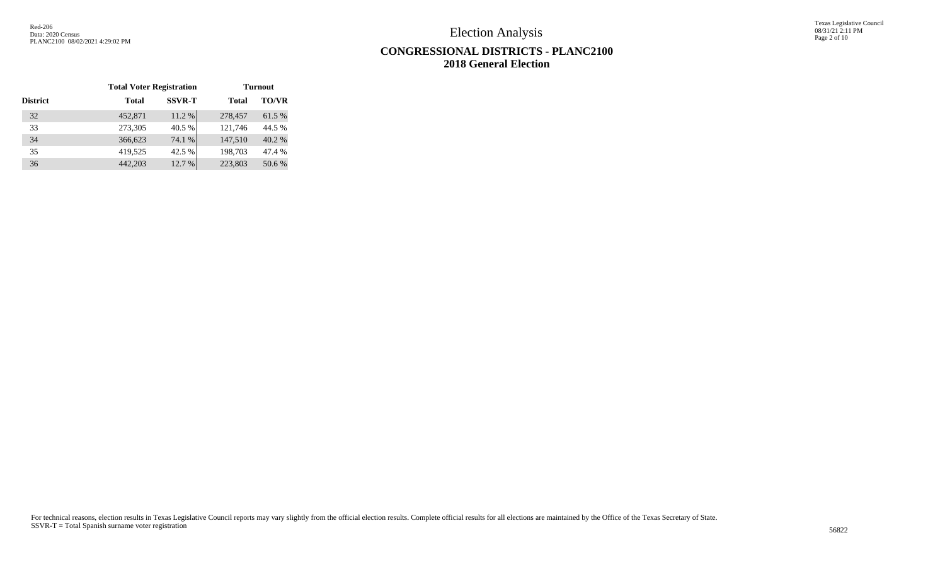Texas Legislative Council 08/31/21 2:11 PM Page 2 of 10

# **CONGRESSIONAL DISTRICTS - PLANC2100 2018 General Election**

|                 | <b>Total Voter Registration</b> |               |         | <b>Turnout</b> |
|-----------------|---------------------------------|---------------|---------|----------------|
| <b>District</b> | Total                           | <b>SSVR-T</b> | Total   | <b>TO/VR</b>   |
| 32              | 452,871                         | 11.2 %        | 278,457 | 61.5%          |
| 33              | 273,305                         | 40.5 %        | 121,746 | 44.5 %         |
| 34              | 366,623                         | 74.1 %        | 147,510 | 40.2 %         |
| 35              | 419,525                         | 42.5 %        | 198,703 | 47.4 %         |
| 36              | 442,203                         | 12.7 %        | 223,803 | 50.6%          |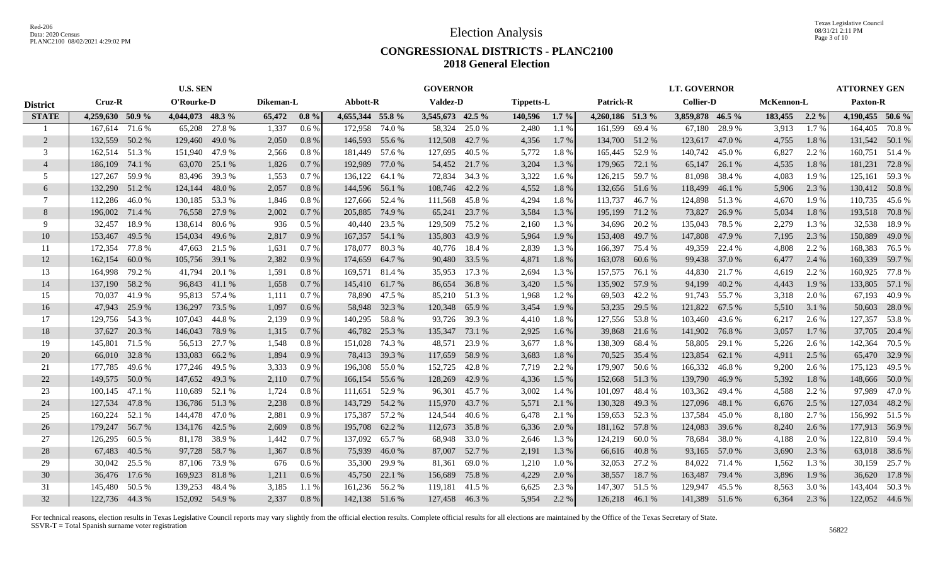#### **CONGRESSIONAL DISTRICTS - PLANC2100 2018 General Election**

|                 | <b>U.S. SEN</b>  |        |                  | <b>GOVERNOR</b> |           |         |                  |        | <b>LT. GOVERNOR</b> |               |                   |         |                  | <b>ATTORNEY GEN</b> |                  |                |            |         |                  |                |
|-----------------|------------------|--------|------------------|-----------------|-----------|---------|------------------|--------|---------------------|---------------|-------------------|---------|------------------|---------------------|------------------|----------------|------------|---------|------------------|----------------|
| <b>District</b> | Cruz-R           |        | O'Rourke-D       |                 | Dikeman-L |         | Abbott-R         |        | <b>Valdez-D</b>     |               | <b>Tippetts-L</b> |         | <b>Patrick-R</b> |                     | <b>Collier-D</b> |                | McKennon-L |         | Paxton-R         |                |
| <b>STATE</b>    | 4,259,630 50.9 % |        | 4,044,073 48.3 % |                 | 65,472    | $0.8\%$ | 4,655,344 55.8 % |        | 3,545,673 42.5 %    |               | 140,596           | $1.7\%$ | 4,260,186 51.3 % |                     | 3,859,878 46.5 % |                | 183,455    | $2.2\%$ | 4,190,455 50.6 % |                |
|                 | 167,614 71.6 %   |        | 65,208           | 27.8 %          | 1,337     | 0.6%    | 172,958          | 74.0 % | 58,324              | 25.0 %        | 2,480             | 1.1%    | 161,599          | 69.4 %              | 67,180           | 28.9%          | 3,913      | 1.7%    |                  | 164,405 70.8 % |
| 2               | 132,559          | 50.2 % | 129,460          | 49.0 %          | 2,050     | $0.8\%$ | 146,593 55.6 %   |        | 112,508 42.7 %      |               | 4,356             | 1.7 %   | 134,700 51.2 %   |                     | 123,617          | 47.0 %         | 4,755      | 1.8%    |                  | 131,542 50.1 % |
| 3               | 162,514 51.3 %   |        | 151,940          | 47.9 %          | 2,566     | $0.8\%$ | 181,449 57.6 %   |        | 127,695             | 40.5 %        | 5,772             | 1.8%    | 165,445 52.9 %   |                     | 140,742          | 45.0%          | 6,827      | 2.2 %   | 160,751          | 51.4 %         |
| $\overline{4}$  | 186,109          | 74.1 % | 63,070           | 25.1 %          | 1,826     | 0.7%    | 192,989          | 77.0 % |                     | 54,452 21.7 % | 3,204             | 1.3%    | 179,965 72.1 %   |                     | 65,147           | 26.1 %         | 4,535      | 1.8%    | 181,231          | 72.8%          |
| .5              | 127,267          | 59.9%  | 83,496           | 39.3 %          | 1,553     | 0.7%    | 136,122          | 64.1 % | 72,834              | 34.3 %        | 3,322             | 1.6 %   | 126,215 59.7 %   |                     | 81,098           | 38.4 %         | 4,083      | 1.9%    | 125,161          | 59.3 %         |
| 6               | 132,290          | 51.2%  | 124,144          | 48.0%           | 2,057     | 0.8%    | 144,596 56.1 %   |        | 108,746 42.2 %      |               | 4,552             | 1.8%    | 132,656 51.6 %   |                     | 118,499          | 46.1%          | 5,906      | 2.3 %   |                  | 130,412 50.8%  |
| 7               | 112,286          | 46.0 % | 130,185 53.3 %   |                 | 1,846     | 0.8 %   | 127,666 52.4 %   |        | 111,568             | 45.8%         | 4,294             | 1.8%    | 113,737          | 46.7 %              |                  | 124,898 51.3 % | 4,670      | 1.9%    |                  | 110,735 45.6 % |
| 8               | 196,002 71.4 %   |        | 76,558           | 27.9 %          | 2,002     | 0.7%    | 205,885          | 74.9 % |                     | 65,241 23.7 % | 3,584             | 1.3%    | 195,199 71.2 %   |                     | 73,827           | 26.9%          | 5,034      | 1.8%    |                  | 193,518 70.8 % |
| 9               | 32,457           | 18.9%  | 138,614          | 80.6 %          | 936       | 0.5%    | 40,440 23.5 %    |        | 129,509             | 75.2 %        | 2,160             | 1.3 %   | 34,696           | 20.2 %              | 135,043          | 78.5 %         | 2,279      | 1.3 %   | 32,538           | 18.9%          |
| 10              | 153,467          | 49.5 % | 154,034          | 49.6 %          | 2,817     | 0.9%    | 167,357          | 54.1 % | 135,803             | 43.9%         | 5,964             | 1.9%    | 153,408          | 49.7 %              | 147,808          | 47.9 %         | 7,195      | 2.3 %   | 150,889          | 49.0 %         |
| -11             | 172,354          | 77.8%  | 47,663           | 21.5 %          | 1,631     | 0.7%    | 178,077          | 80.3%  | 40,776              | 18.4 %        | 2,839             | 1.3%    | 166,397          | 75.4 %              | 49,359           | 22.4 %         | 4,808      | 2.2 %   | 168,383          | 76.5 %         |
| 12              | 162,154          | 60.0%  | 105,756          | 39.1 %          | 2,382     | 0.9%    | 174,659          | 64.7 % | 90,480              | 33.5 %        | 4,871             | 1.8%    | 163,078          | 60.6 %              | 99,438           | 37.0 %         | 6,477      | 2.4 %   |                  | 160,339 59.7 % |
| 13              | 164,998          | 79.2 % | 41,794           | 20.1 %          | 1,591     | 0.8 %   | 169,571 81.4 %   |        |                     | 35,953 17.3 % | 2,694             | 1.3 %   | 157,575 76.1 %   |                     | 44,830           | 21.7 %         | 4,619      | 2.2 %   |                  | 160,925 77.8 % |
| 14              | 137,190 58.2 %   |        | 96,843           | 41.1 %          | 1,658     | 0.7%    | 145,410 61.7 %   |        |                     | 86,654 36.8 % | 3,420             | 1.5 %   | 135,902 57.9 %   |                     | 94,199           | 40.2%          | 4,443      | 1.9%    |                  | 133,805 57.1 % |
| 15              | 70,037           | 41.9%  |                  | 95,813 57.4 %   | 1,111     | 0.7%    | 78,890 47.5 %    |        |                     | 85,210 51.3 % | 1,968             | 1.2%    |                  | 69,503 42.2 %       |                  | 91,743 55.7 %  | 3,318      | 2.0 %   | 67,193           | 40.9%          |
| 16              | 47,943           | 25.9 % | 136,297          | 73.5 %          | 1,097     | $0.6\%$ | 58,948 32.3 %    |        | 120,348 65.9 %      |               | 3,454             | 1.9 %   | 53,235           | 29.5 %              | 121,822          | 67.5 %         | 5,510      | 3.1 %   | 50,603           | 28.0 %         |
| 17              | 129,756 54.3 %   |        | 107,043          | 44.8%           | 2,139     | 0.9%    | 140,295 58.8 %   |        |                     | 93,726 39.3 % | 4,410             | 1.8%    | 127,556 53.8 %   |                     | 103,460          | 43.6 %         | 6,217      | 2.6 %   |                  | 127,357 53.8 % |
| 18              | 37,627           | 20.3 % | 146,043          | 78.9%           | 1,315     | 0.7%    | 46,782 25.3 %    |        | 135,347 73.1 %      |               | 2,925             | 1.6 %   |                  | 39,868 21.6 %       | 141,902          | 76.8%          | 3,057      | 1.7 %   | 37,705           | 20.4 %         |
| 19              | 145,801          | 71.5 % | 56,513           | 27.7 %          | 1,548     | 0.8 %   | 151,028          | 74.3 % | 48,571              | 23.9 %        | 3,677             | 1.8%    | 138,309          | 68.4 %              | 58,805           | 29.1 %         | 5,226      | 2.6 %   | 142,364          | 70.5 %         |
| 20              | 66,010           | 32.8%  | 133,083          | 66.2 %          | 1,894     | $0.9\%$ | 78,413 39.3 %    |        | 117,659             | 58.9%         | 3,683             | 1.8%    | 70,525           | 35.4 %              | 123,854          | 62.1 %         | 4,911      | 2.5 %   | 65,470           | 32.9 %         |
| 21              | 177,785          | 49.6 % | 177,246 49.5 %   |                 | 3,333     | 0.9%    | 196,308 55.0 %   |        | 152,725             | 42.8%         | 7,719             | 2.2 %   | 179,907          | 50.6 %              | 166,332          | 46.8%          | 9,200      | 2.6 %   |                  | 175,123 49.5 % |
| 22              | 149,575 50.0 %   |        | 147,652          | 49.3 %          | 2,110     | 0.7%    | 166,154 55.6 %   |        | 128,269             | 42.9 %        | 4,336             | 1.5 %   | 152,668          | 51.3%               | 139,790          | 46.9%          | 5,392      | 1.8%    | 148,666          | 50.0%          |
| 23              | 100,145          | 47.1 % | 110,689          | 52.1 %          | 1,724     | 0.8%    | 111,651          | 52.9%  | 96,301              | 45.7 %        | 3,002             | 1.4 %   | 101,097          | 48.4 %              | 103,362          | 49.4 %         | 4,588      | 2.2 %   | 97.989           | 47.0 %         |
| 24              | 127,534 47.8 %   |        | 136,786 51.3 %   |                 | 2,238     | 0.8%    | 143,729 54.2 %   |        | 115,970             | 43.7 %        | 5,571             | 2.1 %   | 130,328          | 49.3 %              | 127,096          | 48.1 %         | 6,676      | 2.5 %   | 127,034          | 48.2 %         |
| 25              | 160,224          | 52.1 % | 144,478          | 47.0 %          | 2,881     | 0.9%    | 175,387 57.2 %   |        | 124,544             | 40.6 %        | 6,478             | 2.1 %   | 159,653 52.3 %   |                     | 137,584          | 45.0%          | 8,180      | 2.7 %   |                  | 156,992 51.5 % |
| 26              | 179,247          | 56.7 % | 134,176 42.5 %   |                 | 2,609     | 0.8%    | 195,708          | 62.2 % | 112,673 35.8 %      |               | 6,336             | 2.0 %   | 181,162 57.8 %   |                     | 124,083          | 39.6 %         | 8,240      | 2.6 %   |                  | 177,913 56.9 % |
| 27              | 126,295          | 60.5 % | 81,178           | 38.9%           | 1,442     | 0.7%    | 137,092          | 65.7%  | 68,948              | 33.0 %        | 2,646             | 1.3%    | 124,219          | 60.0%               | 78,684           | 38.0%          | 4,188      | 2.0 %   | 122,810          | 59.4 %         |
| 28              | 67,483           | 40.5 % | 97,728           | 58.7 %          | 1,367     | $0.8\%$ | 75,939           | 46.0%  | 87,007              | 52.7 %        | 2,191             | 1.3 %   |                  | 66,616 40.8%        | 93,165           | 57.0 %         | 3,690      | 2.3 %   |                  | 63,018 38.6 %  |
| 29              | 30,042           | 25.5 % | 87,106           | 73.9 %          | 676       | $0.6\%$ | 35,300 29.9 %    |        | 81,361              | 69.0 %        | 1,210             | 1.0%    |                  | 32,053 27.2 %       | 84,022           | 71.4 %         | 1,562      | 1.3 %   |                  | 30,159 25.7 %  |
| 30              | 36,476 17.6 %    |        | 169,923          | 81.8%           | 1,211     | 0.6 %   | 45,750 22.1 %    |        | 156,689             | 75.8%         | 4,229             | 2.0 %   | 38,557           | 18.7%               | 163,487          | 79.4 %         | 3,896      | 1.9 %   | 36,620           | 17.8 %         |
| 31              | 145,480          | 50.5 % | 139,253          | 48.4%           | 3,185     | 1.1 %   | 161,236 56.2 %   |        | 119,181 41.5 %      |               | 6,625             | 2.3 %   | 147,307          | 51.5 %              | 129,947          | 45.5 %         | 8,563      | 3.0 %   |                  | 143,404 50.3 % |
| 32              | 122,736 44.3 %   |        | 152,092 54.9 %   |                 | 2,337     | 0.8%    | 142,138 51.6 %   |        | 127,458 46.3 %      |               | 5,954             | 2.2 %   | 126,218 46.1 %   |                     | 141,389 51.6 %   |                | 6,364      | 2.3 %   |                  | 122,052 44.6 % |
|                 |                  |        |                  |                 |           |         |                  |        |                     |               |                   |         |                  |                     |                  |                |            |         |                  |                |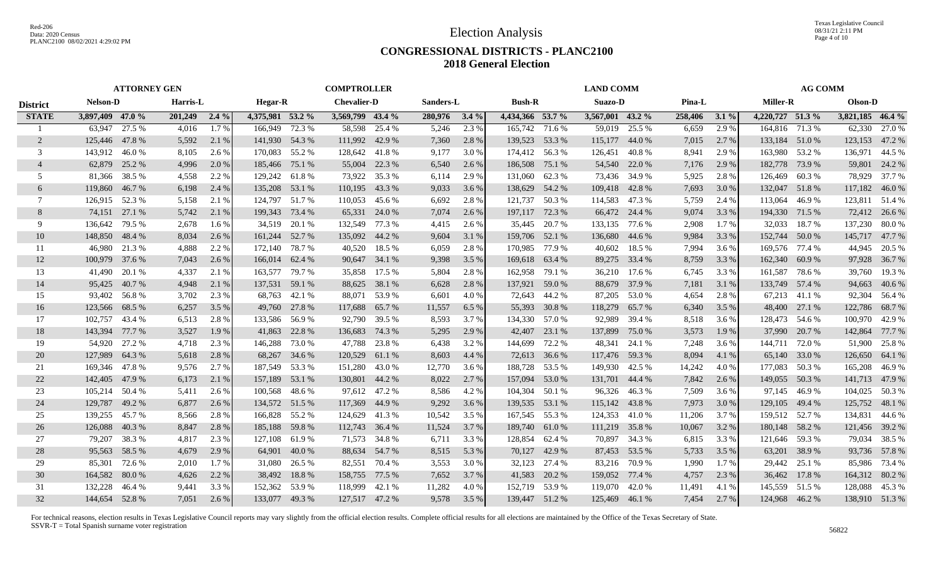Texas Legislative Council 08/31/21 2:11 PM Page 4 of 10

#### **CONGRESSIONAL DISTRICTS - PLANC2100 2018 General Election**

|                 |                  | <b>ATTORNEY GEN</b> |               |         |                  |               | <b>COMPTROLLER</b> |        |           |         |                  |               | <b>LAND COMM</b> |               |         |         |                  | <b>AG COMM</b> |                  |                |
|-----------------|------------------|---------------------|---------------|---------|------------------|---------------|--------------------|--------|-----------|---------|------------------|---------------|------------------|---------------|---------|---------|------------------|----------------|------------------|----------------|
| <b>District</b> | <b>Nelson-D</b>  |                     | Harris-L      |         | Hegar-R          |               | <b>Chevalier-D</b> |        | Sanders-L |         | <b>Bush-R</b>    |               | Suazo-D          |               | Pina-L  |         | <b>Miller-R</b>  |                | Olson-D          |                |
| <b>STATE</b>    | 3,897,409 47.0 % |                     | 201,249 2.4 % |         | 4,375,981 53.2 % |               | 3,569,799 43.4 %   |        | 280,976   | $3.4\%$ | 4,434,366 53.7 % |               | 3,567,001 43.2 % |               | 258,406 | $3.1\%$ | 4,220,727 51.3 % |                | 3,821,185 46.4 % |                |
|                 | 63,947           | 27.5 %              | 4,016         | 1.7%    | 166,949 72.3 %   |               | 58,598             | 25.4 % | 5,246     | 2.3 %   | 165,742 71.6 %   |               |                  | 59,019 25.5 % | 6,659   | 2.9 %   | 164,816 71.3 %   |                | 62,330           | 27.0 %         |
| 2               | 125,446 47.8 %   |                     | 5,592         | 2.1 %   | 141,930 54.3 %   |               | 111,992 42.9 %     |        | 7,360     | 2.8%    | 139,523 53.3 %   |               | 115,177 44.0 %   |               | 7,015   | 2.7 %   | 133,184 51.0 %   |                | 123,153 47.2 %   |                |
| 3               | 143,912          | 46.0%               | 8,105         | 2.6 %   | 170,083 55.2 %   |               | 128,642 41.8 %     |        | 9,177     | 3.0 %   | 174,412          | 56.3%         | 126,451          | 40.8%         | 8,941   | 2.9 %   | 163,980          | 53.2 %         | 136,971          | 44.5 %         |
| $\overline{4}$  | 62,879           | 25.2 %              | 4,996         | 2.0 %   | 185,466 75.1 %   |               | 55,004             | 22.3 % | 6,540     | 2.6 %   | 186,508          | 75.1 %        |                  | 54,540 22.0 % | 7,176   | 2.9 %   | 182,778          | 73.9 %         | 59,801           | 24.2 %         |
| .5              | 81,366           | 38.5 %              | 4,558         | 2.2 %   | 129,242 61.8%    |               | 73,922             | 35.3 % | 6,114     | 2.9 %   | 131,060          | 62.3%         |                  | 73,436 34.9 % | 5,925   | 2.8%    | 126,469          | 60.3%          | 78,929           | 37.7 %         |
| 6               | 119,860          | 46.7%               | 6,198         | 2.4 %   | 135,208 53.1 %   |               | 110,195            | 43.3 % | 9,033     | 3.6 %   | 138,629          | 54.2 %        | 109,418 42.8 %   |               | 7,693   | 3.0%    | 132,047          | 51.8%          | 117,182          | 46.0 %         |
| 7               | 126,915 52.3 %   |                     | 5,158         | 2.1 %   | 124,797 51.7 %   |               | 110,053            | 45.6 % | 6,692     | 2.8 %   | 121,737          | 50.3 %        | 114,583          | 47.3 %        | 5,759   | 2.4 %   | 113,064          | 46.9%          |                  | 123,811 51.4 % |
| 8               | 74,151 27.1 %    |                     | 5,742         | 2.1 %   | 199,343 73.4 %   |               | 65,331             | 24.0 % | 7,074     | 2.6 %   | 197,117          | 72.3 %        |                  | 66,472 24.4 % | 9,074   | 3.3 %   | 194,330 71.5 %   |                |                  | 72,412 26.6 %  |
| 9               | 136,642          | 79.5 %              | 2,678         | 1.6 %   | 34,519           | 20.1 %        | 132,549            | 77.3 % | 4,415     | 2.6 %   | 35,445           | 20.7 %        | 133,135          | 77.6 %        | 2,908   | 1.7 %   | 32,033           | 18.7%          | 137,230          | 80.0 %         |
| 10              | 148,850          | 48.4 %              | 8,034         | 2.6 %   | 161,244 52.7 %   |               | 135,092            | 44.2 % | 9,604     | 3.1 %   | 159,706          | 52.1 %        | 136,680          | 44.6 %        | 9,984   | 3.3 %   | 152,744          | 50.0 %         | 145,717 47.7 %   |                |
| 11              | 46,980           | 21.3 %              | 4,888         | 2.2 %   | 172,140          | 78.7%         | 40,520             | 18.5 % | 6,059     | 2.8%    | 170,985          | 77.9 %        | 40,602           | 18.5 %        | 7,994   | 3.6 %   | 169,576          | 77.4 %         | 44,945           | 20.5 %         |
| 12              | 100,979          | 37.6 %              | 7,043         | 2.6 %   | 166,014 62.4 %   |               | 90,647 34.1 %      |        | 9,398     | 3.5 %   | 169,618          | 63.4 %        |                  | 89,275 33.4 % | 8,759   | 3.3 %   | 162,340 60.9 %   |                | 97,928           | 36.7 %         |
| 13              | 41.490           | 20.1 %              | 4,337         | 2.1 %   | 163,577 79.7 %   |               | 35,858             | 17.5 % | 5,804     | 2.8%    | 162,958          | 79.1 %        |                  | 36,210 17.6 % | 6,745   | 3.3 %   | 161,587 78.6 %   |                | 39,760           | 19.3 %         |
| 14              | 95,425           | 40.7%               | 4,948         | 2.1 %   | 137,531 59.1 %   |               | 88,625             | 38.1 % | 6,628     | 2.8%    | 137,921          | 59.0 %        |                  | 88,679 37.9 % | 7,181   | 3.1 %   | 133,749 57.4 %   |                | 94,663           | 40.6 %         |
| 15              | 93,402           | 56.8%               | 3,702         | 2.3 %   | 68,763           | 42.1 %        | 88,071 53.9 %      |        | 6,601     | 4.0 %   |                  | 72,643 44.2 % | 87,205           | 53.0 %        | 4,654   | 2.8%    |                  | 67,213 41.1 %  |                  | 92,304 56.4 %  |
| 16              | 123,566 68.5 %   |                     | 6,257         | 3.5 %   |                  | 49,760 27.8 % | 117,688            | 65.7 % | 11,557    | 6.5%    | 55,393           | 30.8 %        | 118,279 65.7 %   |               | 6,340   | 3.5 %   |                  | 48,400 27.1 %  | 122,786 68.7 %   |                |
| 17              | 102,757          | 43.4 %              | 6,513         | 2.8 %   | 133,586 56.9 %   |               | 92,790             | 39.5 % | 8,593     | 3.7 %   | 134,330 57.0 %   |               | 92,989           | 39.4 %        | 8,518   | 3.6 %   | 128,473 54.6 %   |                | 100,970          | 42.9 %         |
| 18              | 143,394          | 77.7 %              | 3,527         | 1.9 %   | 41,863           | 22.8 %        | 136,683            | 74.3 % | 5,295     | 2.9 %   | 42,407           | 23.1 %        | 137,899          | 75.0 %        | 3,573   | 1.9%    | 37,990           | 20.7 %         | 142,864          | 77.7 %         |
| 19              | 54,920           | 27.2 %              | 4,718         | 2.3 %   | 146,288          | 73.0 %        | 47,788             | 23.8 % | 6,438     | 3.2 %   | 144,699          | 72.2 %        | 48,341           | 24.1 %        | 7,248   | 3.6 %   | 144,711          | 72.0 %         | 51,900           | 25.8%          |
| 20              | 127,989          | 64.3 %              | 5,618         | 2.8 %   | 68,267           | 34.6 %        | 120,529            | 61.1 % | 8,603     | 4.4 %   | 72,613           | 36.6 %        | 117,476 59.3 %   |               | 8,094   | 4.1 %   | 65,140           | 33.0 %         | 126,650 64.1 %   |                |
| 21              | 169,346          | 47.8%               | 9,576         | 2.7 %   | 187,549 53.3 %   |               | 151,280            | 43.0%  | 12,770    | 3.6 %   | 188,728          | 53.5 %        | 149,930 42.5 %   |               | 14,242  | 4.0%    | 177,083          | 50.3 %         | 165,208          | 46.9%          |
| 22              | 142,405          | 47.9%               | 6,173         | 2.1 %   | 157,189          | 53.1 %        | 130,801            | 44.2 % | 8,022     | 2.7 %   | 157,094          | 53.0 %        | 131,701 44.4 %   |               | 7,842   | 2.6 %   | 149,055          | 50.3%          | 141,713 47.9 %   |                |
| 23              | 105,214 50.4 %   |                     | 5,411         | 2.6 %   | 100,568          | 48.6 %        | 97,612             | 47.2 % | 8,586     | 4.2 %   | 104,304          | 50.1 %        |                  | 96,326 46.3 % | 7,509   | 3.6 %   | 97.145           | 46.9%          | 104,025          | 50.3 %         |
| 24              | 129,787          | 49.2 %              | 6,877         | 2.6 %   | 134,572 51.5 %   |               | 117,369            | 44.9 % | 9,292     | 3.6 %   | 139,535          | 53.1 %        | 115,142 43.8 %   |               | 7,973   | 3.0 %   | 129,105          | 49.4 %         | 125,752 48.1 %   |                |
| 25              | 139,255          | 45.7 %              | 8,566         | 2.8 %   | 166,828 55.2 %   |               | 124,629 41.3 %     |        | 10,542    | 3.5 %   | 167,545 55.3 %   |               | 124,353 41.0 %   |               | 11,206  | 3.7 %   | 159,512 52.7 %   |                | 134,831          | 44.6 %         |
| 26              | 126,088          | 40.3 %              | 8,847         | 2.8 %   | 185,188 59.8 %   |               | 112,743 36.4 %     |        | 11,524    | 3.7 %   | 189,740          | 61.0%         | 111,219 35.8 %   |               | 10,067  | 3.2 %   | 180,148 58.2 %   |                |                  | 121,456 39.2 % |
| 27              | 79,207           | 38.3 %              | 4,817         | 2.3 %   | 127,108          | 61.9%         | 71,573             | 34.8%  | 6,711     | 3.3 %   | 128,854          | 62.4 %        | 70,897           | 34.3 %        | 6,815   | 3.3 %   | 121,646          | 59.3 %         | 79,034           | 38.5 %         |
| 28              | 95,563           | 58.5 %              | 4,679         | 2.9 %   |                  | 64,901 40.0 % | 88,634             | 54.7 % | 8,515     | 5.3 %   | 70,127           | 42.9 %        |                  | 87,453 53.5 % | 5,733   | 3.5 %   | 63,201           | 38.9%          |                  | 93,736 57.8 %  |
| 29              | 85,301           | 72.6 %              | 2,010         | $1.7\%$ |                  | 31,080 26.5 % | 82,551             | 70.4 % | 3,553     | 3.0 %   | 32,123           | 27.4 %        |                  | 83,216 70.9 % | 1,990   | $1.7\%$ |                  | 29,442 25.1 %  |                  | 85,986 73.4 %  |
| 30              | 164,582          | 80.0%               | 4,626         | 2.2 %   | 38,492           | 18.8%         | 158,755            | 77.5 % | 7,652     | 3.7 %   | 41,583           | 20.2 %        | 159,052 77.4 %   |               | 4,757   | 2.3 %   |                  | 36,462 17.8 %  |                  | 164,312 80.2 % |
| 31              | 132,228          | 46.4 %              | 9,441         | 3.3 %   | 152,362 53.9 %   |               | 118,999            | 42.1 % | 11,282    | 4.0%    | 152,719          | 53.9%         | 119,070 42.0 %   |               | 11,491  | 4.1 %   | 145,559 51.5 %   |                | 128,088 45.3 %   |                |
| 32              | 144,654 52.8%    |                     | 7,051         | 2.6 %   | 133,077 49.3 %   |               | 127,517 47.2 %     |        | 9,578     | 3.5 %   | 139,447 51.2 %   |               | 125,469 46.1 %   |               | 7,454   | 2.7 %   | 124,968 46.2 %   |                | 138,910 51.3 %   |                |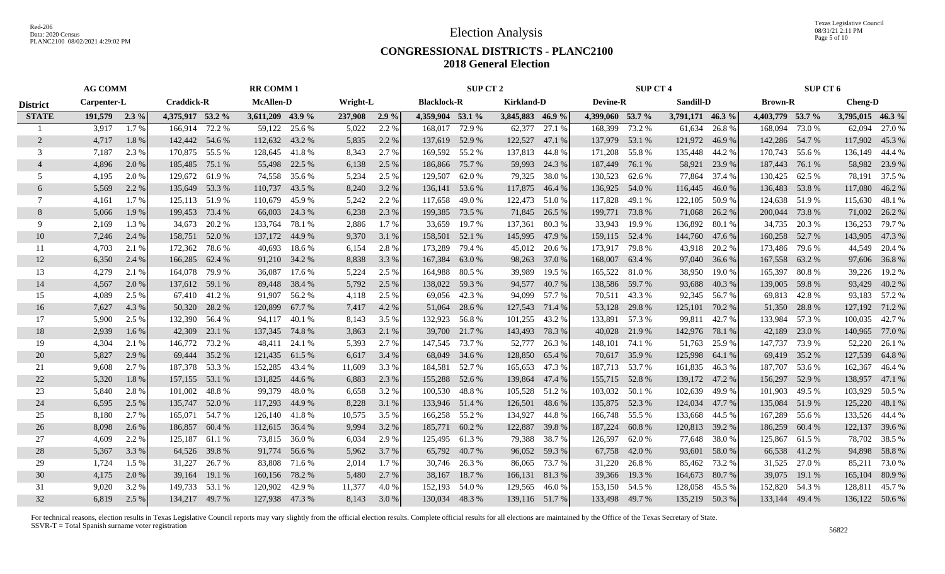Texas Legislative Council 08/31/21 2:11 PM Page 5 of 10

#### **CONGRESSIONAL DISTRICTS - PLANC2100 2018 General Election**

|                 | <b>AG COMM</b> |         |                   |               | <b>RR COMM1</b>  |               |          |       |                    | SUP CT 2      |                   |        |                  | <b>SUP CT 4</b> |                  |        |                  | <b>SUP CT 6</b> |                  |                |
|-----------------|----------------|---------|-------------------|---------------|------------------|---------------|----------|-------|--------------------|---------------|-------------------|--------|------------------|-----------------|------------------|--------|------------------|-----------------|------------------|----------------|
| <b>District</b> | Carpenter-L    |         | <b>Craddick-R</b> |               | <b>McAllen-D</b> |               | Wright-L |       | <b>Blacklock-R</b> |               | <b>Kirkland-D</b> |        | <b>Devine-R</b>  |                 | Sandill-D        |        | <b>Brown-R</b>   |                 | <b>Cheng-D</b>   |                |
| <b>STATE</b>    | 191,579        | $2.3\%$ | 4,375,917 53.2 %  |               | 3,611,209 43.9 % |               | 237,908  | 2.9%  | 4,359,904 53.1 %   |               | 3,845,883 46.9 %  |        | 4,399,060 53.7 % |                 | 3,791,171 46.3 % |        | 4,403,779 53.7 % |                 | 3,795,015 46.3 % |                |
|                 | 3,917          | 1.7%    | 166.914           | 72.2 %        | 59,122           | 25.6 %        | 5,022    | 2.2 % | 168,017            | 72.9 %        | 62,377            | 27.1 % | 168,399          | 73.2 %          | 61,634           | 26.8%  | 168,094          | 73.0 %          | 62,094           | 27.0 %         |
| 2               | 4,717          | 1.8%    | 142,442 54.6 %    |               | 112,632 43.2 %   |               | 5,835    | 2.2 % | 137,619 52.9 %     |               | 122,527           | 47.1 % | 137,979          | 53.1 %          | 121,972          | 46.9%  | 142,286 54.7 %   |                 |                  | 117,902 45.3 % |
| 3               | 7,187          | 2.3 %   | 170,875 55.5 %    |               | 128,645 41.8 %   |               | 8,343    | 2.7 % | 169,592 55.2 %     |               | 137,813           | 44.8%  | 171,208          | 55.8%           | 135,448          | 44.2 % | 170,743          | 55.6 %          | 136,149 44.4 %   |                |
| $\overline{4}$  | 4,896          | 2.0 %   | 185,485           | 75.1 %        | 55,498           | 22.5 %        | 6,138    | 2.5 % | 186,866 75.7 %     |               | 59,993            | 24.3 % | 187,449          | 76.1 %          | 58,921           | 23.9 % | 187,443          | 76.1 %          | 58,982           | 23.9 %         |
| 5               | 4,195          | 2.0 %   | 129,672           | 61.9%         | 74,558           | 35.6 %        | 5,234    | 2.5 % | 129,507            | 62.0%         | 79,325            | 38.0%  | 130,523          | 62.6 %          | 77,864           | 37.4 % | 130,425          | 62.5 %          | 78,191           | 37.5 %         |
| 6               | 5,569          | 2.2 %   | 135,649 53.3 %    |               | 110,737          | 43.5 %        | 8,240    | 3.2 % | 136,141 53.6 %     |               | 117,875           | 46.4 % | 136,925          | 54.0 %          | 116,445          | 46.0%  | 136,483          | 53.8%           | 117,080          | 46.2 %         |
| 7               | 4,161          | 1.7 %   | 125,113           | 51.9%         | 110,679          | 45.9%         | 5,242    | 2.2 % | 117,658 49.0 %     |               | 122,473           | 51.0%  | 117,828          | 49.1 %          | 122,105          | 50.9 % | 124,638 51.9 %   |                 | 115,630 48.1 %   |                |
| 8               | 5,066          | 1.9%    | 199,453           | 73.4 %        | 66,003           | 24.3 %        | 6,238    | 2.3 % | 199,385 73.5 %     |               | 71,845            | 26.5 % |                  | 199,771 73.8 %  | 71,068           | 26.2 % | 200,044 73.8 %   |                 |                  | 71,002 26.2 %  |
| 9               | 2,169          | 1.3 %   | 34,673            | 20.2 %        | 133,764          | 78.1 %        | 2,886    | 1.7 % | 33,659             | 19.7 %        | 137,361           | 80.3%  | 33,943           | 19.9 %          | 136,892          | 80.1 % | 34,735           | 20.3 %          | 136,253          | 79.7 %         |
| 10              | 7,246          | 2.4 %   | 158,751           | 52.0 %        | 137,172          | 44.9%         | 9,370    | 3.1 % | 158,501            | 52.1 %        | 145,995           | 47.9 % | 159,115          | 52.4 %          | 144,760          | 47.6 % | 160,258          | 52.7 %          | 143,905          | 47.3 %         |
| 11              | 4,703          | 2.1 %   | 172,362           | 78.6%         | 40,693           | 18.6%         | 6,154    | 2.8%  | 173,289            | 79.4 %        | 45,012            | 20.6 % | 173,917          | 79.8 %          | 43,918           | 20.2 % | 173,486          | 79.6 %          | 44,549           | 20.4 %         |
| 12              | 6,350          | 2.4 %   | 166,285           | 62.4 %        | 91,210           | 34.2 %        | 8,838    | 3.3 % | 167,384            | 63.0 %        | 98,263            | 37.0 % | 168,007          | 63.4 %          | 97,040           | 36.6 % | 167,558 63.2 %   |                 |                  | 97,606 36.8 %  |
| 13              | 4,279          | 2.1 %   | 164,078           | 79.9 %        | 36,087           | 17.6 %        | 5,224    | 2.5 % | 164,988 80.5 %     |               | 39,989            | 19.5 % | 165,522 81.0 %   |                 | 38,950           | 19.0 % | 165,397          | 80.8%           | 39,226           | 19.2 %         |
| 14              | 4,567          | 2.0 %   | 137,612 59.1 %    |               | 89,448           | 38.4 %        | 5,792    | 2.5 % | 138,022 59.3 %     |               | 94,577            | 40.7 % |                  | 138,586 59.7 %  | 93,688           | 40.3%  | 139,005          | 59.8%           | 93,429           | 40.2 %         |
| 15              | 4,089          | 2.5 %   |                   | 67,410 41.2 % | 91,907           | 56.2 %        | 4,118    | 2.5 % |                    | 69,056 42.3 % | 94,099            | 57.7 % |                  | 70,511 43.3 %   | 92,345           | 56.7 % | 69,813 42.8 %    |                 |                  | 93,183 57.2 %  |
| 16              | 7,627          | 4.3 %   |                   | 50,320 28.2 % | 120,899          | 67.7 %        | 7,417    | 4.2 % |                    | 51,064 28.6 % | 127,543           | 71.4 % |                  | 53,128 29.8 %   | 125,101          | 70.2 % | 51,350           | 28.8%           | 127,192 71.2 %   |                |
| 17              | 5,900          | 2.5 %   | 132,390           | 56.4 %        |                  | 94,117 40.1 % | 8,143    | 3.5 % | 132,923 56.8 %     |               | 101,255           | 43.2 % |                  | 133,891 57.3 %  | 99,811           | 42.7 % | 133,984          | 57.3 %          | 100,035          | 42.7 %         |
| 18              | 2,939          | 1.6 %   | 42,309            | 23.1 %        | 137,345          | 74.8%         | 3,863    | 2.1 % | 39,700             | 21.7 %        | 143,493           | 78.3 % | 40,028           | 21.9 %          | 142,976          | 78.1 % | 42,189           | 23.0 %          | 140,965          | 77.0 %         |
| 19              | 4,304          | 2.1 %   | 146,772           | 73.2 %        | 48,411           | 24.1 %        | 5,393    | 2.7 % | 147,545 73.7 %     |               | 52,777            | 26.3 % | 148,101          | 74.1 %          | 51,763           | 25.9 % | 147,737          | 73.9 %          | 52,220           | 26.1 %         |
| 20              | 5,827          | 2.9 %   | 69,444            | 35.2 %        | 121,435          | 61.5 %        | 6,617    | 3.4 % |                    | 68,049 34.6 % | 128,850           | 65.4 % | 70,617           | 35.9 %          | 125,998          | 64.1 % | 69,419           | 35.2 %          | 127,539          | 64.8 %         |
| 21              | 9,608          | 2.7 %   | 187,378           | 53.3 %        | 152,285          | 43.4 %        | 11,609   | 3.3 % | 184,581 52.7 %     |               | 165,653           | 47.3 % | 187,713 53.7 %   |                 | 161,835          | 46.3%  | 187,707          | 53.6 %          | 162,367          | 46.4 %         |
| 22              | 5,320          | 1.8%    | 157,155           | 53.1 %        | 131,825          | 44.6 %        | 6,883    | 2.3 % | 155,288            | 52.6 %        | 139,864           | 47.4 % | 155,715          | 52.8%           | 139,172          | 47.2 % | 156,297          | 52.9 %          | 138,957          | 47.1 %         |
| 23              | 5,840          | 2.8%    | 101,002           | 48.8%         | 99,379           | 48.0%         | 6,658    | 3.2 % | 100,530 48.8 %     |               | 105,528           | 51.2%  | 103,032          | 50.1 %          | 102,639          | 49.9%  | 101,903          | 49.5 %          | 103,929          | 50.5 %         |
| 24              | 6,595          | 2.5 %   | 135,747           | 52.0 %        | 117,293          | 44.9 %        | 8,228    | 3.1 % | 133,946 51.4 %     |               | 126,501           | 48.6 % | 135,875          | 52.3 %          | 124,034          | 47.7%  | 135,084          | 51.9%           | 125,220          | 48.1 %         |
| 25              | 8,180          | $2.7\%$ | 165,071 54.7 %    |               | 126,140 41.8 %   |               | 10,575   | 3.5 % | 166,258 55.2 %     |               | 134,927           | 44.8%  | 166,748 55.5 %   |                 | 133,668          | 44.5 % | 167,289          | 55.6 %          | 133,526 44.4 %   |                |
| 26              | 8,098          | 2.6 %   | 186,857           | 60.4 %        | 112,615          | 36.4 %        | 9,994    | 3.2 % | 185,771            | 60.2%         | 122,887           | 39.8%  | 187,224          | 60.8%           | 120,813          | 39.2 % | 186,259          | 60.4 %          | 122,137          | 39.6 %         |
| 27              | 4,609          | 2.2 %   | 125,187           | 61.1 %        | 73,815           | 36.0%         | 6,034    | 2.9 % | 125,495            | 61.3%         | 79,388            | 38.7 % | 126,597          | 62.0%           | 77,648           | 38.0%  | 125,867          | 61.5 %          | 78,702           | 38.5 %         |
| 28              | 5,367          | 3.3 %   | 64,526            | 39.8%         | 91,774           | 56.6 %        | 5,962    | 3.7 % |                    | 65,792 40.7 % | 96,052            | 59.3 % | 67,758           | 42.0 %          | 93,601           | 58.0%  | 66,538           | 41.2%           | 94,898           | 58.8 %         |
| 29              | 1,724          | 1.5 %   | 31,227            | 26.7 %        | 83,808           | 71.6 %        | 2,014    | 1.7 % |                    | 30,746 26.3 % | 86,065            | 73.7 % | 31,220           | 26.8%           | 85,462           | 73.2 % | 31,525 27.0 %    |                 | 85,211           | 73.0 %         |
| 30              | 4,175          | 2.0 %   | 39,164            | 19.1 %        | 160,156          | 78.2%         | 5,480    | 2.7 % |                    | 38,167 18.7 % | 166,131           | 81.3%  | 39,366           | 19.3 %          | 164,673          | 80.7%  | 39,075           | 19.1 %          | 165,104          | 80.9 %         |
| 31              | 9,020          | 3.2 %   | 149,733           | 53.1 %        | 120,902          | 42.9%         | 11,377   | 4.0 % | 152,193 54.0 %     |               | 129,565           | 46.0%  | 153,150 54.5 %   |                 | 128,058          | 45.5 % | 152,820          | 54.3 %          | 128,811          | 45.7%          |
| 32              | 6,819          | 2.5 %   | 134,217 49.7 %    |               | 127,938 47.3 %   |               | 8,143    | 3.0 % | 130,034 48.3 %     |               | 139,116 51.7 %    |        | 133,498 49.7 %   |                 | 135,219          | 50.3 % | 133,144 49.4 %   |                 | 136,122 50.6 %   |                |
|                 |                |         |                   |               |                  |               |          |       |                    |               |                   |        |                  |                 |                  |        |                  |                 |                  |                |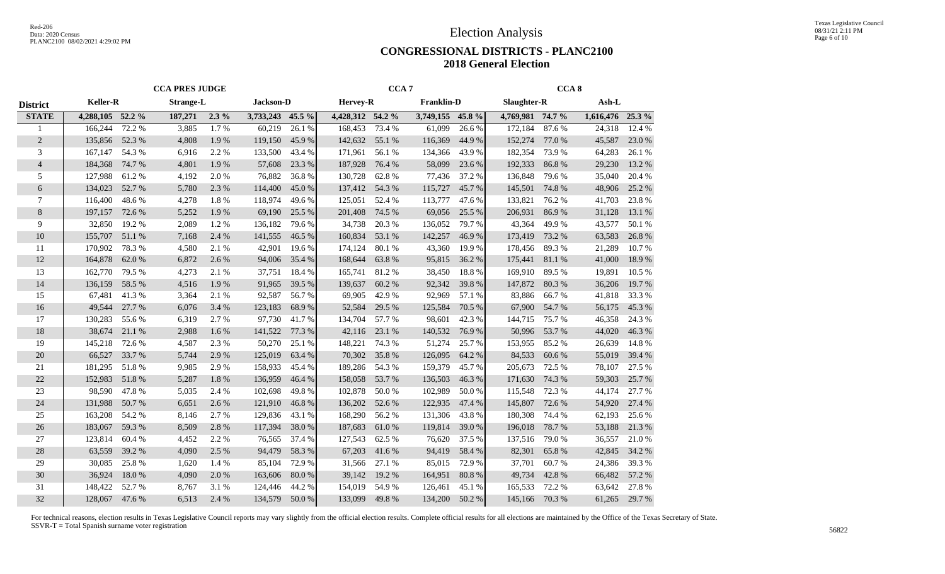Texas Legislative Council 08/31/21 2:11 PM Page 6 of 10

#### **CONGRESSIONAL DISTRICTS - PLANC2100 2018 General Election**

|                 | <b>CCA PRES JUDGE</b> |        |                  |         |                  | CCA <sub>7</sub><br><b>Franklin-D</b><br><b>Hervey-R</b> |                  |        |                  | CCA <sub>8</sub> |                  |        |                  |        |
|-----------------|-----------------------|--------|------------------|---------|------------------|----------------------------------------------------------|------------------|--------|------------------|------------------|------------------|--------|------------------|--------|
| <b>District</b> | <b>Keller-R</b>       |        | <b>Strange-L</b> |         | Jackson-D        |                                                          |                  |        |                  |                  | Slaughter-R      |        | $Ash-L$          |        |
| <b>STATE</b>    | 4,288,105 52.2 %      |        | 187,271          | $2.3\%$ | 3,733,243 45.5 % |                                                          | 4,428,312 54.2 % |        | 3,749,155 45.8 % |                  | 4,769,981 74.7 % |        | 1,616,476 25.3 % |        |
| 1               | 166,244               | 72.2 % | 3,885            | 1.7%    | 60,219           | 26.1%                                                    | 168,453          | 73.4 % | 61,099           | 26.6%            | 172,184          | 87.6%  | 24,318           | 12.4 % |
| $\overline{2}$  | 135,856               | 52.3 % | 4,808            | 1.9%    | 119,150          | 45.9%                                                    | 142,632          | 55.1 % | 116,369          | 44.9 %           | 152,274          | 77.0 % | 45,587           | 23.0%  |
| 3               | 167,147               | 54.3 % | 6,916            | 2.2 %   | 133,500          | 43.4 %                                                   | 171,961          | 56.1 % | 134,366          | 43.9%            | 182,354          | 73.9%  | 64,283           | 26.1%  |
| $\overline{4}$  | 184,368               | 74.7 % | 4,801            | 1.9%    | 57,608           | 23.3 %                                                   | 187,928          | 76.4 % | 58,099           | 23.6 %           | 192,333          | 86.8%  | 29,230           | 13.2 % |
| 5               | 127,988               | 61.2%  | 4,192            | 2.0%    | 76,882           | 36.8%                                                    | 130,728          | 62.8%  | 77,436           | 37.2 %           | 136,848          | 79.6%  | 35,040           | 20.4 % |
| 6               | 134,023               | 52.7%  | 5,780            | 2.3 %   | 114,400          | 45.0%                                                    | 137,412          | 54.3 % | 115,727          | 45.7%            | 145,501          | 74.8%  | 48,906           | 25.2 % |
| 7               | 116,400               | 48.6%  | 4,278            | 1.8%    | 118,974          | 49.6 %                                                   | 125,051          | 52.4 % | 113,777          | 47.6 %           | 133,821          | 76.2 % | 41,703           | 23.8%  |
| $\,8\,$         | 197,157               | 72.6 % | 5,252            | 1.9%    | 69,190           | 25.5 %                                                   | 201,408          | 74.5 % | 69,056           | 25.5 %           | 206,931          | 86.9%  | 31,128           | 13.1 % |
| 9               | 32,850                | 19.2 % | 2,089            | 1.2%    | 136,182          | 79.6%                                                    | 34,738           | 20.3 % | 136,052          | 79.7 %           | 43,364           | 49.9%  | 43,577           | 50.1 % |
| 10              | 155,707               | 51.1 % | 7,168            | 2.4 %   | 141,555          | 46.5 %                                                   | 160,834          | 53.1 % | 142,257          | 46.9%            | 173,419          | 73.2 % | 63,583           | 26.8%  |
| 11              | 170,902               | 78.3%  | 4,580            | 2.1 %   | 42,901           | 19.6 %                                                   | 174,124          | 80.1%  | 43,360           | 19.9%            | 178,456          | 89.3%  | 21,289           | 10.7%  |
| 12              | 164,878               | 62.0%  | 6,872            | 2.6 %   | 94,006           | 35.4 %                                                   | 168,644          | 63.8%  | 95,815           | 36.2%            | 175,441          | 81.1%  | 41,000           | 18.9%  |
| 13              | 162,770               | 79.5 % | 4,273            | 2.1 %   | 37,751           | 18.4 %                                                   | 165,741          | 81.2%  | 38,450           | 18.8%            | 169,910          | 89.5%  | 19,891           | 10.5 % |
| 14              | 136,159               | 58.5%  | 4,516            | 1.9%    | 91,965           | 39.5 %                                                   | 139,637          | 60.2%  | 92,342           | 39.8%            | 147,872          | 80.3%  | 36,206           | 19.7%  |
| 15              | 67,481                | 41.3%  | 3,364            | 2.1 %   | 92,587           | 56.7%                                                    | 69,905           | 42.9%  | 92,969           | 57.1 %           | 83,886           | 66.7%  | 41,818           | 33.3%  |
| 16              | 49,544                | 27.7 % | 6,076            | 3.4 %   | 123,183          | 68.9%                                                    | 52,584           | 29.5 % | 125,584          | 70.5 %           | 67,900           | 54.7 % | 56,175           | 45.3%  |
| 17              | 130,283               | 55.6%  | 6,319            | 2.7 %   | 97,730           | 41.7%                                                    | 134,704          | 57.7 % | 98,601           | 42.3 %           | 144,715          | 75.7 % | 46,358           | 24.3 % |
| 18              | 38,674                | 21.1 % | 2,988            | 1.6 %   | 141,522          | 77.3 %                                                   | 42,116           | 23.1 % | 140,532          | 76.9%            | 50,996           | 53.7%  | 44,020           | 46.3%  |
| 19              | 145,218               | 72.6 % | 4,587            | 2.3 %   | 50,270           | 25.1 %                                                   | 148,221          | 74.3 % | 51,274           | 25.7 %           | 153,955          | 85.2%  | 26,639           | 14.8%  |
| 20              | 66,527                | 33.7%  | 5,744            | 2.9%    | 125,019          | 63.4 %                                                   | 70,302           | 35.8%  | 126,095          | 64.2 %           | 84,533           | 60.6%  | 55,019           | 39.4 % |
| 21              | 181,295               | 51.8%  | 9,985            | 2.9%    | 158,933          | 45.4 %                                                   | 189,286          | 54.3 % | 159,379          | 45.7%            | 205,673          | 72.5 % | 78,107           | 27.5 % |
| 22              | 152,983               | 51.8%  | 5,287            | 1.8%    | 136,959          | 46.4%                                                    | 158,058          | 53.7%  | 136,503          | 46.3%            | 171,630          | 74.3 % | 59,303           | 25.7%  |
| 23              | 98,590                | 47.8%  | 5,035            | 2.4 %   | 102,698          | 49.8%                                                    | 102,878          | 50.0%  | 102,989          | 50.0%            | 115,548          | 72.3 % | 44,174           | 27.7 % |
| 24              | 131,988               | 50.7%  | 6,651            | 2.6 %   | 121,910          | 46.8%                                                    | 136,202          | 52.6%  | 122,935          | 47.4 %           | 145,807          | 72.6%  | 54,920           | 27.4 % |
| 25              | 163,208               | 54.2 % | 8,146            | 2.7 %   | 129,836          | 43.1 %                                                   | 168,290          | 56.2%  | 131,306          | 43.8%            | 180,308          | 74.4 % | 62,193           | 25.6 % |
| 26              | 183,067               | 59.3 % | 8,509            | 2.8 %   | 117,394          | 38.0%                                                    | 187,683          | 61.0%  | 119,814          | 39.0%            | 196,018          | 78.7%  | 53,188           | 21.3%  |
| 27              | 123,814               | 60.4 % | 4,452            | 2.2 %   | 76,565           | 37.4 %                                                   | 127,543          | 62.5 % | 76,620           | 37.5 %           | 137,516          | 79.0%  | 36,557           | 21.0%  |
| 28              | 63,559                | 39.2 % | 4,090            | 2.5 %   | 94,479           | 58.3%                                                    | 67,203           | 41.6%  | 94,419           | 58.4 %           | 82,301           | 65.8%  | 42,845           | 34.2 % |
| 29              | 30,085                | 25.8%  | 1,620            | 1.4 %   | 85,104           | 72.9 %                                                   | 31,566           | 27.1 % | 85,015           | 72.9 %           | 37,701           | 60.7%  | 24,386           | 39.3%  |
| 30              | 36,924                | 18.0%  | 4,090            | 2.0%    | 163,606          | 80.0%                                                    | 39,142           | 19.2 % | 164,951          | 80.8%            | 49,734           | 42.8%  | 66,482           | 57.2 % |
| 31              | 148,422               | 52.7%  | 8,767            | 3.1 %   | 124,446          | 44.2%                                                    | 154,019          | 54.9%  | 126,461          | 45.1 %           | 165,533          | 72.2 % | 63,642           | 27.8%  |
| 32              | 128,067 47.6 %        |        | 6,513            | 2.4 %   | 134,579          | 50.0%                                                    | 133,099          | 49.8%  | 134,200          | 50.2 %           | 145,166 70.3%    |        | 61,265           | 29.7%  |
|                 |                       |        |                  |         |                  |                                                          |                  |        |                  |                  |                  |        |                  |        |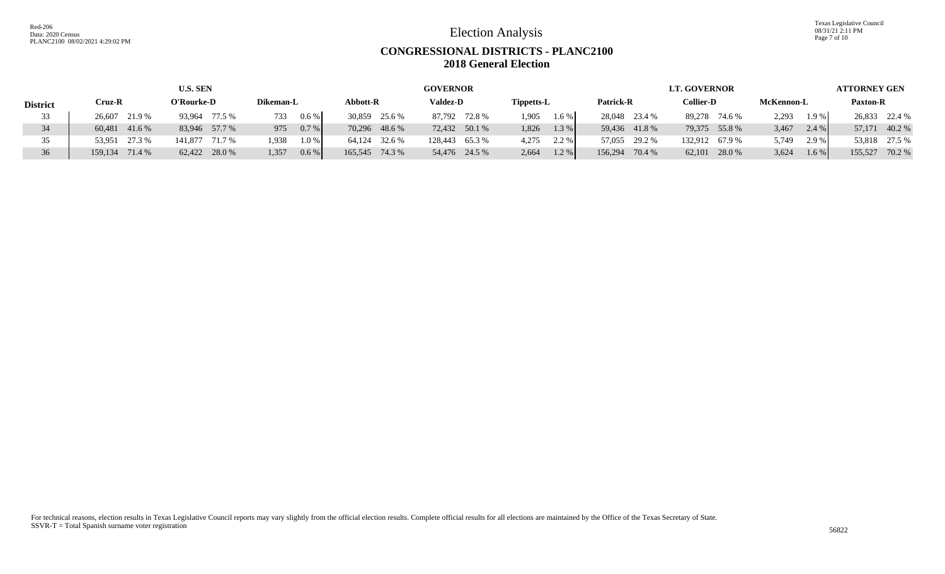Texas Legislative Council 08/31/21 2:11 PM Page 7 of 10

## **CONGRESSIONAL DISTRICTS - PLANC2100 2018 General Election**

|                 |                   | <b>U.S. SEN</b>   |                  |                   | <b>GOVERNOR</b>  |                |                   | <b>LT. GOVERNOR</b> |                | <b>ATTORNEY GEN</b> |  |  |
|-----------------|-------------------|-------------------|------------------|-------------------|------------------|----------------|-------------------|---------------------|----------------|---------------------|--|--|
| <b>District</b> | Cruz-R            | O'Rourke-D        | Dikeman-L        | Abbott-R          | <b>Valdez-D</b>  | Tippetts-L     | Patrick-R         | <b>Collier-D</b>    | McKennon-L     | <b>Paxton-R</b>     |  |  |
|                 | 26,607 21.9 %     | 93,964 77.5 %     | $0.6\%$<br>733   | 30,859<br>25.6 %  | 87,792 72.8 %    | 1.905<br>1.6 % | 28,048 23.4 %     | 89,278 74.6 %       | 2,293<br>1.9%  | 26,833 22.4 %       |  |  |
|                 | 60,481 41.6 %     | 83,946 57.7 %     | $0.7\%$<br>975   | 70,296 48.6 %     | 72,432 50.1 %    | 1,826<br>1.3 % | 59,436 41.8 %     | 79,375 55.8 %       | 3,467<br>2.4 % | 57,171<br>40.2 %    |  |  |
| 35              | 27.3 %<br>53.951  | 141,877<br>71.7 % | 1.938<br>$1.0\%$ | 64.124<br>32.6 %  | 65.3%<br>128.443 | 2.2%<br>4,275  | 57,055 29.2 %     | 132,912<br>67.9 %   | 5,749<br>2.9 % | 53,818 27.5 %       |  |  |
|                 | 71.4 %<br>159.134 | 62,422 28.0 %     | 1.357<br>0.6 %   | 165,545<br>74.3 % | 54,476 24.5 %    | 1.2%<br>2,664  | 156,294<br>70.4 % | $62,101$ 28.0 %     | 3,624<br>1.6 % | 155,527<br>70.2 %   |  |  |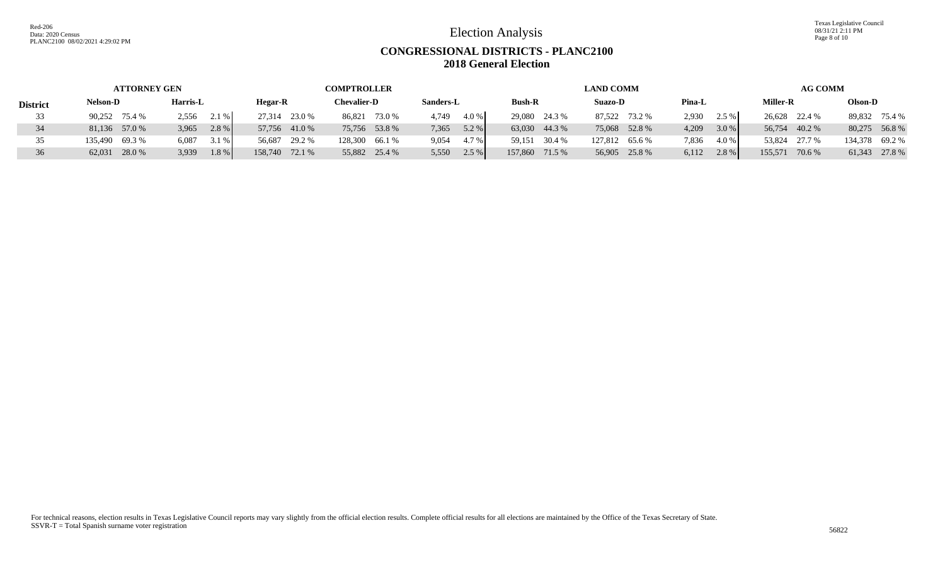Texas Legislative Council 08/31/21 2:11 PM Page 8 of 10

# **CONGRESSIONAL DISTRICTS - PLANC2100 2018 General Election**

|                 | <b>ATTORNEY GEN</b> |                  |                | <b>COMPTROLLER</b> |                  |                | <b>LAND COMM</b> |                  | <b>AG COMM</b>    |                |  |  |
|-----------------|---------------------|------------------|----------------|--------------------|------------------|----------------|------------------|------------------|-------------------|----------------|--|--|
| <b>District</b> | <b>Nelson-D</b>     | Harris-L         | <b>Hegar-R</b> | <b>Chevalier-D</b> | Sanders-L        | <b>Bush-R</b>  | <b>Suazo-D</b>   | Pina-L           | <b>Miller-R</b>   | Olson-D        |  |  |
|                 | 90,252 75.4 %       | $2.1\%$<br>2,556 | 27,314 23.0 %  | 86,821 73.0 %      | 4.0 %<br>4,749   | 29,080 24.3 %  | 87,522 73.2 %    | 2.5%<br>2,930    | 26,628 22.4 %     | 89,832 75.4 %  |  |  |
| 34              | 81,136 57.0 %       | 2.8 %<br>3,965   | 57,756 41.0 %  | 75,756 53.8 %      | $5.2\%$<br>7,365 | 63,030 44.3 %  | 75,068 52.8 %    | $3.0\%$<br>4,209 | 56,754 40.2 %     | 80,275 56.8 %  |  |  |
|                 | 135,490 69.3 %      | 3.1 %<br>6,087   | 56,687 29.2 %  | 128,300 66.1 %     | 4.7 %<br>9,054   | 59,151 30.4 %  | 127,812 65.6 %   | 7,836<br>4.0 %   | 53,824 27.7 %     | 134,378 69.2 % |  |  |
|                 | 62,031 28.0 %       | $1.8\%$<br>3,939 | 158,740 72.1 % | 55,882 25.4 %      | $2.5\%$<br>5,550 | 157,860 71.5 % | 56,905 25.8 %    | 2.8 %<br>6,112   | 155,571<br>70.6 % | 61,343 27.8 %  |  |  |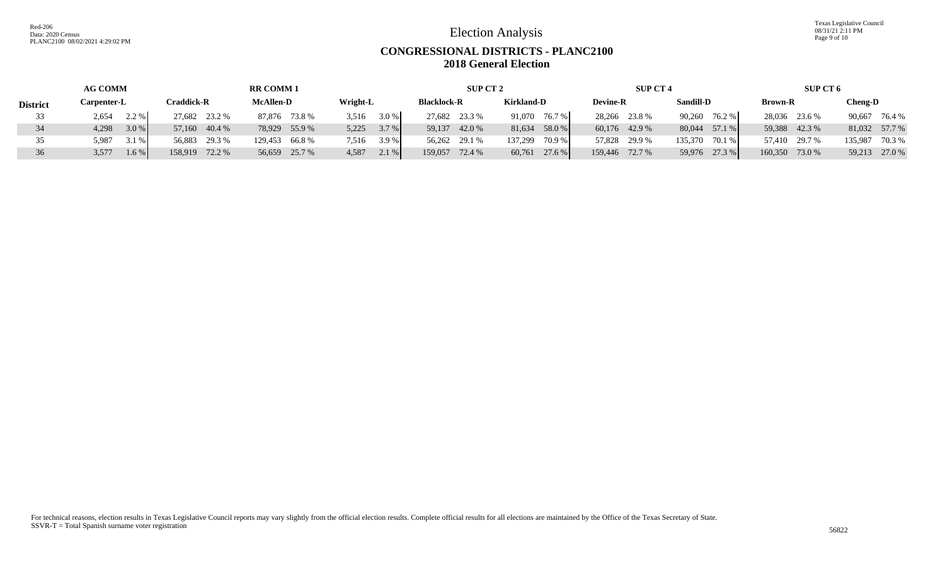Texas Legislative Council 08/31/21 2:11 PM Page 9 of 10

## **CONGRESSIONAL DISTRICTS - PLANC2100 2018 General Election**

|                 | <b>AG COMM</b>     |                  | <b>RR COMM1</b>  |                | SUP CT 2           |                     | <b>SUP CT 4</b> |                   | SUP CT 6       |                  |  |
|-----------------|--------------------|------------------|------------------|----------------|--------------------|---------------------|-----------------|-------------------|----------------|------------------|--|
| <b>District</b> | <b>Carpenter-L</b> | Craddick-R       | <b>McAllen-D</b> | Wright-L       | <b>Blacklock-R</b> | <b>Kirkland-D</b>   | <b>Devine-R</b> | <b>Sandill-D</b>  | <b>Brown-R</b> | Cheng-D          |  |
|                 | 2.2 %<br>2,654     | 27,682 23.2 %    | 87,876 73.8 %    | 3.0 %<br>3,516 | 27,682 23.3 %      | 91.070<br>76.7 %    | 28,266 23.8 %   | 90.260<br>76.2 %  | 28,036 23.6 %  | 90,667<br>76.4 % |  |
| 34              | $3.0\%$<br>4,298   | 57,160 40.4 %    | 78,929 55.9 %    | 3.7 %<br>5,225 | 59,137<br>42.0 %   | 58.0 %<br>81,634    | 60,176 42.9 %   | 80,044 57.1 %     | 59,388 42.3 %  | 81,032 57.7 %    |  |
|                 | 5,987<br>3.1 %     | 29.3 %<br>56.883 | 129,453 66.8 %   | 3.9%<br>7.516  | 56,262 29.1 %      | $70.9\%$<br>137.299 | 57,828 29.9 %   | 135,370<br>70.1 % | 57,410 29.7 %  | 70.3 %<br>35,987 |  |
| 36              | $1.6\%$<br>3,577   | 158,919 72.2 %   | 56,659 25.7 %    | 2.1%<br>4,587  | 159,057<br>72.4 %  | $60,761$ 27.6 %     | 159,446 72.7 %  | 59,976 27.3 %     | 160,350 73.0 % | 59,213 27.0 %    |  |